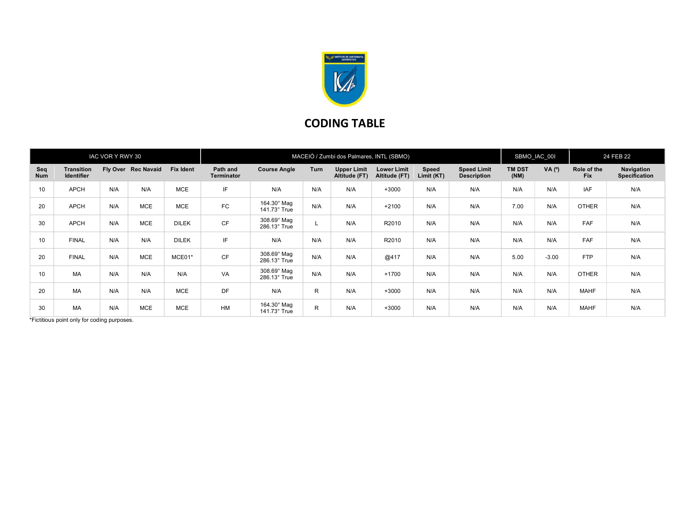

## CODING TABLE

| IAC VOR Y RWY 30 |                                 |     |                     |                  | MACEIÓ / Zumbi dos Palmares, INTL (SBMO) |                                    |              |                                     |                                     |                     |                                          | SBMO IAC 001          |         | 24 FEB 22                 |                                    |
|------------------|---------------------------------|-----|---------------------|------------------|------------------------------------------|------------------------------------|--------------|-------------------------------------|-------------------------------------|---------------------|------------------------------------------|-----------------------|---------|---------------------------|------------------------------------|
| Seq<br>Num       | <b>Transition</b><br>Identifier |     | Fly Over Rec Navaid | <b>Fix Ident</b> | Path and<br>Terminator                   | <b>Course Angle</b>                | Turn         | <b>Upper Limit</b><br>Altitude (FT) | <b>Lower Limit</b><br>Altitude (FT) | Speed<br>Limit (KT) | <b>Speed Limit</b><br><b>Description</b> | <b>TM DST</b><br>(NM) | VA (°)  | Role of the<br><b>Fix</b> | Navigation<br><b>Specification</b> |
| 10               | <b>APCH</b>                     | N/A | N/A                 | <b>MCE</b>       | IF                                       | N/A                                | N/A          | N/A                                 | $+3000$                             | N/A                 | N/A                                      | N/A                   | N/A     | <b>IAF</b>                | N/A                                |
| 20               | <b>APCH</b>                     | N/A | <b>MCE</b>          | <b>MCE</b>       | <b>FC</b>                                | 164.30° Mag<br>141.73° True        | N/A          | N/A                                 | $+2100$                             | N/A                 | N/A                                      | 7.00                  | N/A     | <b>OTHER</b>              | N/A                                |
| 30               | <b>APCH</b>                     | N/A | <b>MCE</b>          | <b>DILEK</b>     | <b>CF</b>                                | $308.69^\circ$ Mag<br>286.13° True |              | N/A                                 | R2010                               | N/A                 | N/A                                      | N/A                   | N/A     | FAF                       | N/A                                |
| 10               | <b>FINAL</b>                    | N/A | N/A                 | <b>DILEK</b>     | IF                                       | N/A                                | N/A          | N/A                                 | R2010                               | N/A                 | N/A                                      | N/A                   | N/A     | FAF                       | N/A                                |
| 20               | <b>FINAL</b>                    | N/A | <b>MCE</b>          | MCE01*           | <b>CF</b>                                | 308.69° Mag<br>286.13° True        | N/A          | N/A                                 | @417                                | N/A                 | N/A                                      | 5.00                  | $-3.00$ | <b>FTP</b>                | N/A                                |
| 10               | MA                              | N/A | N/A                 | N/A              | VA                                       | 308.69° Mag<br>286.13° True        | N/A          | N/A                                 | $+1700$                             | N/A                 | N/A                                      | N/A                   | N/A     | <b>OTHER</b>              | N/A                                |
| 20               | MA                              | N/A | N/A                 | <b>MCE</b>       | <b>DF</b>                                | N/A                                | $\mathsf{R}$ | N/A                                 | $+3000$                             | N/A                 | N/A                                      | N/A                   | N/A     | <b>MAHF</b>               | N/A                                |
| 30               | MA                              | N/A | <b>MCE</b>          | <b>MCE</b>       | <b>HM</b>                                | 164.30° Mag<br>141.73° True        | R.           | N/A                                 | $+3000$                             | N/A                 | N/A                                      | N/A                   | N/A     | <b>MAHF</b>               | N/A                                |

\*Fictitious point only for coding purposes.